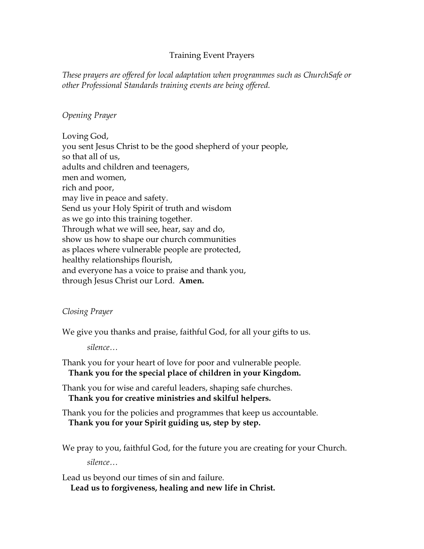## Training Event Prayers

*These prayers are offered for local adaptation when programmes such as ChurchSafe or other Professional Standards training events are being offered.* 

## *Opening Prayer*

Loving God, you sent Jesus Christ to be the good shepherd of your people, so that all of us, adults and children and teenagers, men and women, rich and poor, may live in peace and safety. Send us your Holy Spirit of truth and wisdom as we go into this training together. Through what we will see, hear, say and do, show us how to shape our church communities as places where vulnerable people are protected, healthy relationships flourish, and everyone has a voice to praise and thank you, through Jesus Christ our Lord. **Amen.**

## *Closing Prayer*

We give you thanks and praise, faithful God, for all your gifts to us.

*silence…*

Thank you for your heart of love for poor and vulnerable people.  **Thank you for the special place of children in your Kingdom.**

Thank you for wise and careful leaders, shaping safe churches.  **Thank you for creative ministries and skilful helpers.**

Thank you for the policies and programmes that keep us accountable.  **Thank you for your Spirit guiding us, step by step.**

We pray to you, faithful God, for the future you are creating for your Church. *silence…*

Lead us beyond our times of sin and failure.  **Lead us to forgiveness, healing and new life in Christ.**